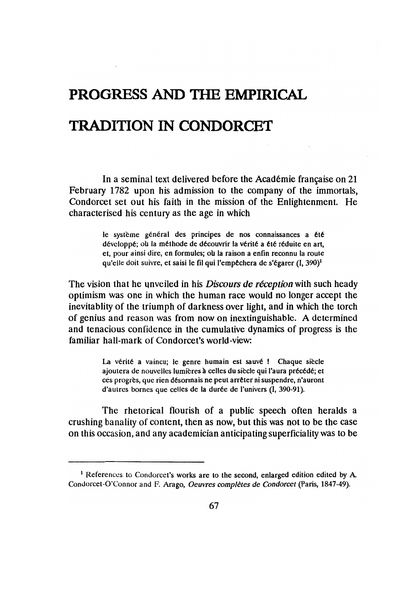## PROGRESS AND THE EMPIRICAL

## TRADITION IN CONDORCET

In a seminal text delivered before the Académie française on 21 February 1782 upon his admission to the company of the immortals, Condorcet set out his faith in the mission of the Enlightenment. He characterised his century as the age in which

> le système général des principes de nos connaissances a été développé; où la méthode de découvrir la vérité a été réduite en art, et, pour ainsi dire, en formules; où la raison a enfin reconnu la route qu'elle doit suivre, et saisi le fil qui l'empêchera de s'égarer  $(I, 390)^1$

The vision that he unveiled in his *Discours de reception* with such heady optimism was one in which the human race would no longer accept the inevitablity of the triumph of darkness over light, and in which the torch of genius and reason was from now on inextinguishable. A determined and tenacious confidence in the cumulative dynamics of progress is the familiar hall-mark of Condorcet's world-view:

> La vérité a vaincu; le genre humain est sauvé ! Chaque siècle ajoutera de nouvelles lumières à celles du siècle qui l'aura précédé; et ces progrès, que rien désormais ne peut arrêter ni suspendre, n'auront d'autres bornes que celles de la durée de l'univers (I, 390-91).

The rhetorical flourish of a public speech often heralds a crushing banality of content, then as now, but this was not to be the case on this occasion, and any academician anticipating superficiality was to be

<sup>&</sup>lt;sup>1</sup> References to Condorcet's works are to the second, enlarged edition edited by A. Condorcet-O'Connor and F. Arago, *Oeuvres completes de Condorcet* (Paris, 1847-49).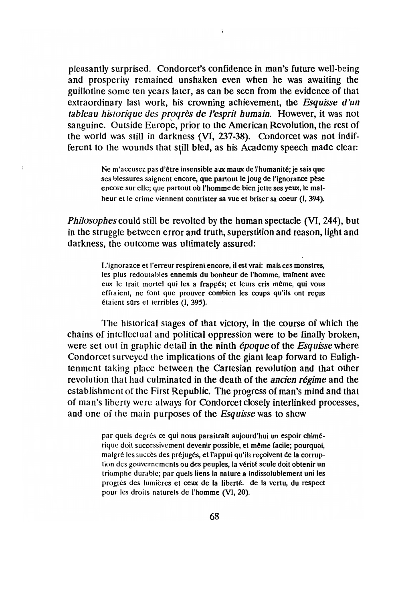pleasantly surprised. Condorcet's confidence in man's future well-being and prospcrily remained unshaken even when he was awaiting the guillotine some ten ycars later, as can be seen from the evidence of that extraordinary last work, his crowning achievement, the *Esquisse d'un tableau historique des progrès de l'esprit humain.* However, it was not sanguine. Outside Europe, prior to the American Revolution, the rest of thc world was still in darkness (VI, 237-38). Condorcet was not indifferent to the wounds that still bled, as his Academy speech made clear:

> Ne m'accusez pas d'être insensible aux maux de l'humanité; je sais que ses blessures saignent encore, que partout le joug de l'ignorance pèse encore sur elle; que partout où l'homme de bien jette ses yeux, le malheur et le crime viennent contrister sa vue el briser sa coeur (I, 394).

*Philosophes* could still be revolted by the human spectacle (VI, 244), but in the struggle betwcen error and truth, superstition and reason, light and darkness, the outcome was ultimately assured:

> L'ignorance et l'erreur respirent encore, il est vrai: mais ces monstres, les plus redoutables ennemis du bonheur de I'homme, trainent avec eux le trait mortel qui les a frappés; et leurs cris même, qui vous effraient, ne font que prouver combien les coups qu'ils ont reçus étaient sûrs et terribles (I, 395).

Thc historical stages of that victory, in the course of which the chains of intcllcctual and political oppression were to be finally broken, wcre set out in graphic detail in the ninth *epoque* of the *Esquisse* where Condorcet surveyed the implications of the giant leap forward to Enlightenmcnt taking placc between the Cartesian revolution and that other revolution that had culminated in the death of the *ancien regime* and the establishment of the First Republic. The progress of man's mind and that of man's liberty wcrc always for Condorcet closely interlinked processes, and one of the main purposes of the *Esquisse* was to show

> par quels degrés ce qui nous paraitraît aujourd'hui un espoir chimérique doit successivement devenir possible, et même facile; pourquoi, malgré les succès des préjugés, et l'appui qu'ils reçoivent de la corruption des gouvernements ou des peuples, la vérité seule doit obtenir un triornphe durable; par quels liens la nature a indissolublement uni les progrés des lumières et ceux de la liberté. de la vertu, du respect pour les droits naturels de l'homme (VI, 20).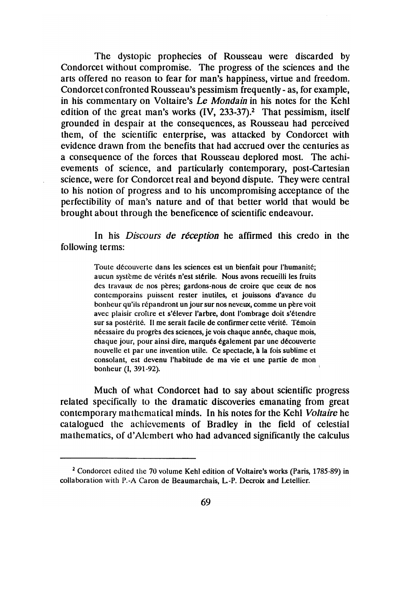The dystopic prophecies of Rousseau were discarded by Condorcet without compromise. The progress of the sciences and the arts offered no reason to fear for man's happiness, virtue and freedom. Condorcet confronted Rousseau's pessimism frequently - as, for example, in his commentary on Voltaire's *Le Mon*da*in* in his notes for the Kehl edition of the great man's works  $(IV, 233-37)$ .<sup>2</sup> That pessimism, itself grounded in despair at the consequences, as Rousseau had perceived them, of the scientific enterprise, was attacked by Condorcet with evidence drawn from the benefits that had accrued over the centuries as a consequence of the forces that Rousseau deplored most. The achievements of science, and particularly contemporary, post-Cartesian science, were for Condorcet real and beyond dispute. They were central to his notion of progress and to his uncompromising acceptance of the perfectibility of man's nature and of that better world that would be brought about through the beneficence of scientific endeavour.

In his *Discours de reception* he affirmed this credo in the following terms:

> Toute découverte dans les sciences est un bienfait pour l'humanité; aucun système de vérités n'est stérile. Nous avons recueilli les fruits des travaux de nos peres; gardons-nous de croire que ceux de nos contemporains puissent rester inutiles, et jouissons d'avance du bonheur qu'ils répandront un jour sur nos neveux, comme un père voit avec plaisir croître et s'élever l'arbre, dont l'ombrage doit s'étendre sur sa postérité. Il me serait facile de confirmer cette vérité. Témoin néessaire du progrès des sciences, je vois chaque année, chaque mois, chaque jour, pour ainsi dire, marqués également par une découverte nouvelle et par une invention utile. Ce spectacle, à la fois sublime et consolant, est devenu l'habitude de ma vie et une partie de mon bonheur (I, 391-92).

Much of what Condorcet bad to say about scientific progress related specifically to the dramatic discoveries emanating from great contemporary malhematical minds. In his notes for the Kehl *Voltaire* he catalogued the achievements of Bradley in the field of celestial mathematics, of d'AJcmbert who had advanced significantly the calculus

<sup>&</sup>lt;sup>2</sup> Condorcet edited the 70 volume Kehl edition of Voltaire's works (Paris, 1785-89) in collaboration with P.-A Caron de Beaumarchais, L.-P. Decroix and Letellier.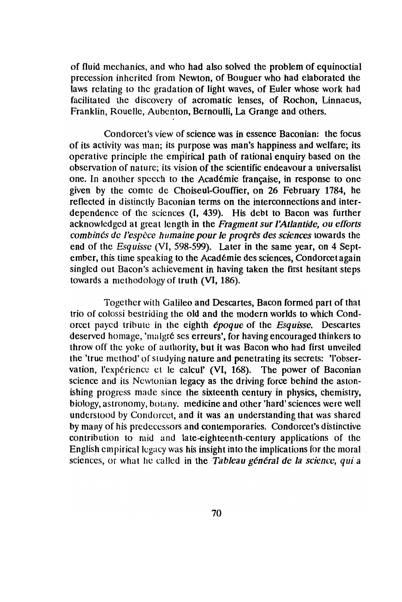of fluid mechanics, and who had also solved the problem of equinoetial precession inherited from Newton, of Bouguer who had elaborated the laws relating to the gradation of light waves, of Euler whose work had facilitated the discovery of acromatic lenses, of Rochon, Linnaeus, Franklin, Rouelle, Aubenton, Bernoulli, La Grange and others.

Condorcet's view of science was in essence Baconian: the foeus of its activity was man; its purpose was man's happiness and welfare; its operative prineiple the empirical path of rational enquiry based on the observation of nature; its vision of the scientific endeavour a universalist one. In another speech to the Académie française, in response to one given by the comte de Choiseul-Oouffier, on 26 February 1784, he reflected in distinctly Baconian terms on the interconnections and interdependence of the sciences (I, 439). His debt to Bacon was further acknowledged at great length in the *Fragment surl'Atlantide,* ou *efforts combinés de l'espèce humaine pour le progrès des sciences* towards the end of the *Esquisse* (VI, 598-599). Later in the same year, on 4 September, this time speaking to the Academie des sciences, Condorcetagain singled out Bacon's achievement in having taken the first hesitant steps towards a methodology of truth (VI, 186).

Together with Galileo and Descartes, Bacon formed part of that trio of colossi bestriding the old and the modern worlds to which Condoreet payed tribute in the eighth *epoque* of the *Esquisse.* Descartes deserved homage, 'malgré ses erreurs', for having encouraged thinkers to throw off the yokc of authority, but it was Bacon who had first unveiled the 'true method' of studying nature and penetrating its secrets: 'l'observation, l'expérience et le calcul' (VI, 168). The power of Baconian science and its Newtonian legacy as the driving force behind the astonishing progress made since the sixteenth century in physics, chemistry, biology, astronomy, botany. medicine and other 'hard' sciences were well understood by Condorcet, and it was an understanding that was shared by many of his predeccssors and contemporarics. Condorcet's distinctive contribution to mid and late-eighteenth-century applications of the English empirical legacy was his insight into the implications for the moral sciences, or what he called in the *Tableau général de la science*, *qui a*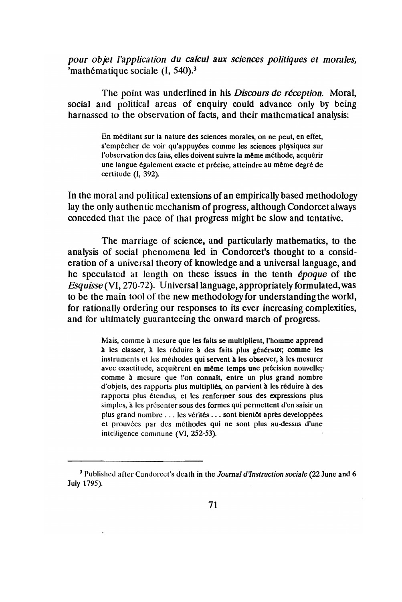pour objet l'application du calcul aux sciences politiques et morales, 'mathématique sociale  $(I, 540).$ <sup>3</sup>

The point was underlined in his Discours de réception. Moral, social and political areas of enquiry could advance only by being harnassed to the observation of facts, and their mathematical analysis:

> En méditant sur la nature des sciences morales, on ne peut, en effet, s'empêcher de voir qu'appuyées comme les sciences physiques sur l'observation des faits, elles doivent suivre la même méthode, acquérir une langue également exacte et précise, atteindre au même degré de certitude (I, 392).

In the moral and political extensions of an empirically based methodology lay the only authentic mechanism of progress, although Condorcet always conceded that the pace of that progress might be slow and tentative.

The marriage of science, and particularly mathematics, to the analysis of social phenomena led in Condorcet's thought to a consideration of a universal theory of knowledge and a universal language, and he speculated at length on these issues in the tenth *époque* of the Esquisse (VI, 270-72). Universal language, appropriately formulated, was to be the main tool of the new methodology for understanding the world, for rationally ordering our responses to its ever increasing complexities, and for ultimately guaranteeing the onward march of progress.

> Mais, comme à mesure que les faits se multiplient, l'homme apprend à les classer, à les réduire à des faits plus généraux; comme les instruments et les méthodes qui servent à les observer, à les mesurer avec exactitude, acquièrent en même temps une précision nouvelle; comme à mesure que l'on connaît, entre un plus grand nombre d'objets, des rapports plus multipliés, on parvient à les réduire à des rapports plus étendus, et les renfermer sous des expressions plus simples, à les présenter sous des formes qui permettent d'en saisir un plus grand nombre ... les vérités ... sont bientôt après developpées et prouvées par des méthodes qui ne sont plus au-dessus d'une intelligence commune (VI, 252-53).

<sup>&</sup>lt;sup>3</sup> Published after Condorcet's death in the Journal d'Instruction sociale (22 June and 6 July 1795).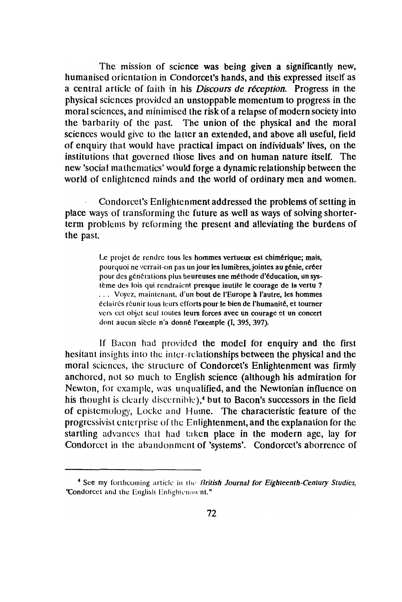The mission of science was being given a significantly new, humanised orientation in Condorcet's hands, and this expressed itself as a central article of faith in his *Discours de réception*. Progress in the physical sciences provided an unstoppable momentum to progress in the moral sciences, and minimised the risk of a relapse of modern society into the barbarity of the past. The union of the physical and the moral sciences would give to the latter an extended, and above all useful, field of enquiry that would have practical impact on individuals' lives, on the institutions that governed those lives and on human nature itself. The new 'social mathematics' would forge a dynamic relationship between the world of enlightened minds and the world of ordinary men and women.

Condorcet's Enlightenment addressed the problems of setting in place ways of transforming the future as well as ways of solving shorterterm problems by reforming the present and alleviating the burdens of the past.

> Le projet de rendre tous les hommes vertueux est chimérique; mais, pourquoi ne verrait-on pas un jour les lumières, jointes au génie, créer pour des générations plus heureuses une méthode d'éducation, un système des lois qui rendraient presque inutile le courage de la vertu ? ... Voyez, maintenant, d'un bout de l'Europe à l'autre, les hommes éclairés réunir tous leurs efforts pour le bien de l'humanité, et tourner vers cet objet seul toutes leurs forces avec un courage et un concert dont aucun siècle n'a donné l'exemple (I, 395, 397).

If Bacon had provided the model for enquiry and the first hesitant insights into the inter-relationships between the physical and the moral sciences, the structure of Condorcet's Enlightenment was firmly anchored, not so much to English science (although his admiration for Newton, for example, was unqualified, and the Newtonian influence on his thought is clearly discernible),<sup>4</sup> but to Bacon's successors in the field of epistemology, Locke and Hume. The characteristic feature of the progressivist enterprise of the Enlightenment, and the explanation for the startling advances that had taken place in the modern age, lay for Condorcet in the abandonment of 'systems'. Condorcet's aborrence of

<sup>&</sup>lt;sup>4</sup> See my forthcoming article in the British Journal for Eighteenth-Century Studies, "Condorcet and the English Enlightenment."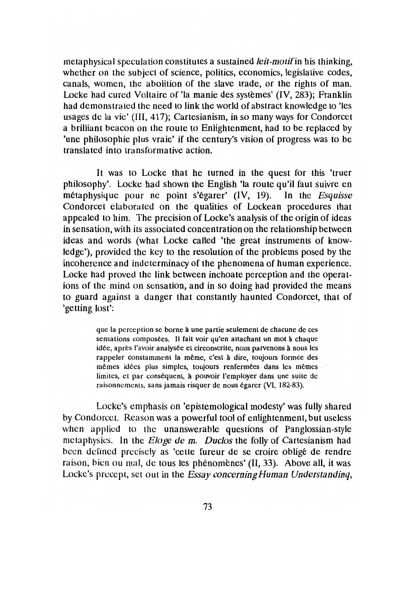metaphysical speculation constitutes a sustained *leit-motifin* his thinking, whether on the subject of science, politics, economics, legislative codes, canals, women, the abolition of the slave trade, or the rights of man. Locke had cured Voltaire of 'la manie des systèmes'  $(IV, 283)$ ; Franklin had demonstrated the need to link the world of abstract knowledge to 'les usages de la vie' (111, 417); Cartesianism, in so many ways for Condorcet a brilliant beacon on the route to Enlightenment, had to be replaced by 'une philosophie plus vraie' if the century's vision of progress was to be translated into transforrnative action.

It was to Locke that he turned in the quest for this 'truer philosophy'. Locke had shown the English 'la route qu'il faut suivre en metaphysique pour ne point s'egarer' (IV, 19). In the *Esquisse* Condorcel elaborated on the qualities of Lockean procedures that appealed to him. The precision of Locke's analysis of the origin of ideas in sensation, with its associated concentration on the relationship between ideas and words (what Locke called 'the great instruments of knowledge'), provided the key to the resolution of the problems posed by the incoherence and indeterrninacy of the phenomena of human experience. Locke had proved the link between inchoate perception and the operations of the mind on sensation, and in so doing had provided the means to guard against a danger that constantly haunted Condorcet, that of 'getting lost':

> que la perception se borne à une partie seulement de chacune de ces sensations composées. Il fait voir qu'en attachant un mot à chaque idée, après l'avoir analysée et circonscrite, nous parvenons à nous les rappeler constamment la même, c'est à dire, toujours formée des mêmes idées plus simples, toujours renfermées dans les mêmes limites, et par conséquent, à pouvoir l'employer dans une suite de raisonnements, sans jamais risquer de nous egarer (VI, 182-83).

Lockc's emphasis on 'epistemological modesty' was fully shared by Condorcet. Reason was a powerful tool of enlightenment, but useless when applied to the unanswerable questions of Panglossian-style metaphysics. In the *Eloge* de m. *Duclos* the folly of Cartesianism had bcen defined precisely as 'cette fureur de se croire obligé de rendre raison, bien ou mal, de tous les phénomènes' (II, 33). Above all, it was Locke's precept, set out in the *Essay concerning Human Understanding*,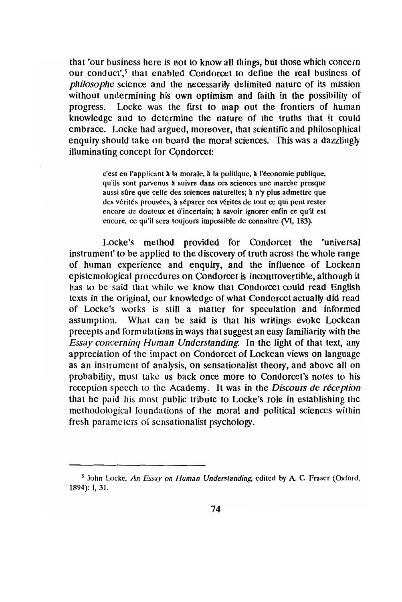that 'our business here is not to know all things, but those which concern our conduct',<sup>5</sup> that enabled Condorcet to define the real business of philosophe science and the necessarily delimited nature of its mission without undermining his own optimism and faith in the possibility of progress. Locke was the first to map out the frontiers of human knowledge and to determine the nature of the truths that it could embrace. Locke had argued, moreover, that scientific and philosophical enquiry should take on board the moral sciences. This was a dazzlingly illuminating concept for Condorcet:

> c'est en l'applicant à la morale, à la politique, à l'économie publique, qu'ils sont parvenus à suivre dans ces sciences une marche presque aussi sûre que celle des sciences naturelles; à n'y plus admettre que des vérités prouvées, à séparer ces vérites de tout ce qui peut rester encore de douteux et d'incertain; à savoir ignorer enfin ce qu'il est encore, ce qu'il sera toujours impossible de connaître (VI, 183).

Locke's method provided for Condorcet the 'universal instrument' to be applied to the discovery of truth across the whole range of human experience and enquiry, and the influence of Lockean epistemological procedures on Condorcet is incontrovertible, although it has to be said that while we know that Condorcet could read English texts in the original, our knowledge of what Condorcet actually did read of Locke's works is still a matter for speculation and informed assumption. What can be said is that his writings evoke Lockean precepts and formulations in ways that suggest an easy familiarity with the **Essay concerning Human Understanding.** In the light of that text, any appreciation of the impact on Condorcet of Lockean views on language as an instrument of analysis, on sensationalist theory, and above all on probability, must take us back once more to Condorcet's notes to his reception speech to the Academy. It was in the Discours de réception that he paid his most public tribute to Locke's role in establishing the methodological foundations of the moral and political sciences within fresh parameters of sensationalist psychology.

<sup>&</sup>lt;sup>5</sup> John Locke, An Essay on Human Understanding, edited by A. C. Fraser (Oxford, 1894): I, 31.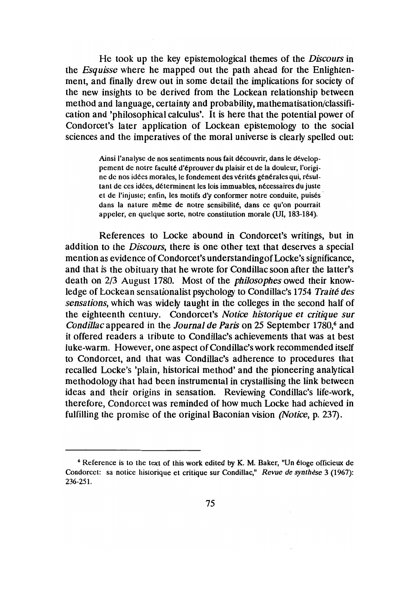He took up the key epistemological themes of the *Discours* in the *Esquisse* where he mapped out the path ahead for the Enlightenment, and finally drew out in some detail the implications for society of the new insights to be derived from the Lockean relationship between method and language, certainty and probability, mathematisation/classification and 'philosophical calculus'. It is here that the potential power of Condorcet's later application of Lockean epistemology to the social sciences and the imperatives of the moral universe is clearly spelled out:

> Ainsi l'analyse de nos sentiments nous fait découvrir, dans le développement de notre faculté d'éprouver du plaisir et de la douleur, l'origine de nos idées morales, le fondement des vérités générales qui, résultant de ces idées, déterminent les lois immuables, nécessaires du juste et de I'injuste; enfin, les motifs d'y conformer notre conduite, puises dans la nature même de notre sensibilité, dans ce qu'on pourrait appeler, en quelque sorte, notre constitution morale (UI, 183-184).

References to Locke abound in Condorcet's writings, but in addition to the *Discours*, there is one other text that deserves a special mention as evidence of Condorcet's understanding of Locke's significance, and that is the obituary that he wrote for Condillac soon after the latter's death on 2/3 August 1780. Most of the *philosophes* owed their knowledge of Lockean sensationalist psychology to Condillac's 1754 *Traite des sensations,* which was widely taught in the colleges in the second half of the eighteenth century. Condorcet's *Notice historique et critique sur Condillac* appeared in the *Journal de Paris* on 25 September 1780,<sup>6</sup> and it offered readers a tribute to Condillac's achievements that was at best luke-warm. However, one aspect of Condillac's work recommended itself to Condorcet, and that was Condillac's adherence to procedures that recalled Locke's 'plain, historical method' and the pioneering analytical methodology that had been instrumental in crystallising the link between ideas and their origins in sensation. Reviewing Condillac's life-work, therefore, Condorcet was reminded of how much Locke had achieved in fulfilling thc promise of the original Baconian vision *(Notice,* p. 237).

<sup>6</sup> Reference is to the text of this work edited by K. M. Baker, "Un eloge officieux de Condorcet: sa notice historique et critique sur Condillac," *Revue de synthèse* 3 (1967): 236-251.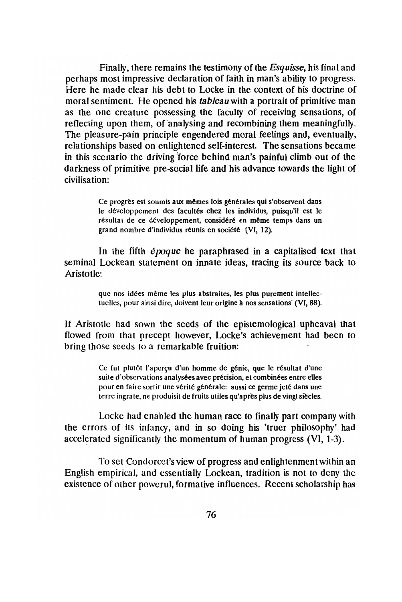Finally, there remains the testimony of the *Esquisse,* his final and perhaps most impressive declaration of faith in man's ability to progress. Here he made clear his debt to Locke in the context of his doctrine of moral sentiment. He opened his *tableau* with a portrait of primitive man as the one creature possessing the faculty of receiving sensations, of reflecting upon them, of analysing and recombining them meaningfully. The pleasure-pain principle engendered moral feelings and, eventually, relationships based on enlightened self-interest. The sensations became in this scenario the driving force behind man's painful climb out of the darkness of primitive pre-social life and his advance towards the light of civilisation:

> Ce progrès est soumis aux mêmes lois générales qui s'observent dans le développement des facultés chez les individus, puisqu'il est le résultat de ce développement, considéré en même temps dans un grand nombre d'individus réunis en société (VI, 12).

In the fifth  $\epsilon p \circ q u e$  he paraphrased in a capitalised text that seminal Lockean statement on innate ideas, tracing its source back to Aristotle:

> que nos idées même les plus abstraites, les plus purement intellectuelles, pour ainsi dire, doivent leur origine à nos sensations' (VI, 88).

If Aristotle had sown the seeds of the epistemological upheaval that flowed from that precept however, Locke's achievement had been to bring those sceds to a rcmarkable fruition:

> Ce fut plutôt l'aperçu d'un homme de génie, que le résultat d'une suite d'observations analysées avec précision, et combinées entre elles pour en faire sortir une vérité générale: aussi ce germe jeté dans une terre ingrate, ne produisit de fruits utiles qu'après plus de vingt siècles.

Locke had cnabled the human race to finally part company with the errors of its infancy, and in so doing his 'truer philosophy' had accelerated significantly the momentum of human progress  $(VI, 1-3)$ .

To set Condorcct's view of progress and enlightenmcnt within an English empirieal, and cssentially Lockean, tradition is not to dcny thc existence of other powerul, formative influences. Recent scholarship has